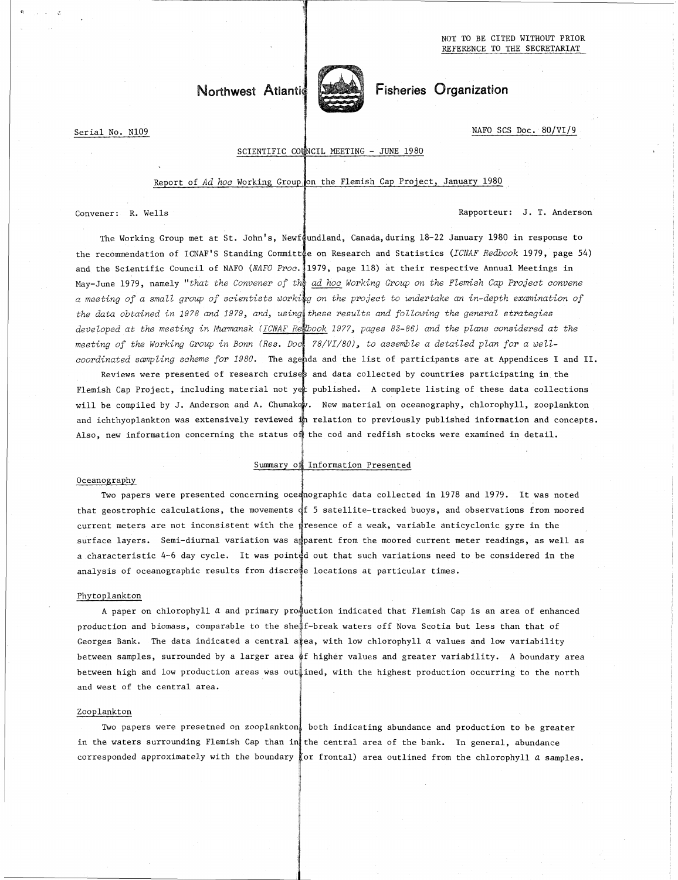NOT TO BE CITED WITHOUT PRIOR REFERENCE TO THE SECRETARIAT

# Northwest Atlantic Fisheries Organization



Serial No. N109 NAFO SCS Doc. 80/VI/9

c,

# SCIENTIFIC COUNCIL MEETING - JUNE 1980

#### Report of Ad hoc Working Group on the Flemish Cap Project, January 1980

Serial No. N109<br>
SCIENTIFIC COUNCIL MEETING - JUNE 1980<br>
Report of Ad hoc Working Group on the Flemish Cap Project, January 1980<br>
Convener: R. Wells<br>
The Working Group met at St. John's, Newfoundland, Canada, during 18-22 The Working Group met at St. John's, Newfoundland, Canada, during 18-22 January 1980 in response to the recommendation of ICNAF'S Standing Committee on Research and Statistics (ICNAF Redbook 1979, page 54) 1 May-June 1979, namely *"that the Convener of the ad hoc Working Group on the Flemish Cap Project convene* and the Scientific Council of NAFO *(NAFO Proc.* 1979, page 118) at their respective Annual Meetings in a meeting of a small group of scientists worki<mark>n</mark>g on the project to undertake an in-depth examination oj *the data obtained in 1978 and 1979, and, using'these results and following the general strategies developed at the meeting in Murmansk (IMF Rebook 1977, pages 83-86) and the plans considered at the meeting of the Working Group in Bonn (Res. Docl 78/VI/80), to assemble a detailed plan for a* well*coordinated sampling scheme for 1980.* The agenda and the list of participants are at Appendices I and II. Reviews were presented of research cruises and data collected by countries participating in the Flemish Cap Project, including material not yet published. A complete listing of these data collections will be compiled by J. Anderson and A. Chumakow. New material on oceanography, chlorophyll, zooplankton and ichthyoplankton was extensively reviewed in relation to previously published information and concepts. Also, new information concerning the status of the cod and redfish stocks were examined in detail.

### Summary of Information Presented

#### Oceanography

Two papers were presented concerning oceanographic data collected in 1978 and 1979. It was noted that geostrophic calculations, the movements  $\frac{1}{4}f$  5 satellite-tracked buoys, and observations from moored current meters are not inconsistent with the presence of a weak, variable anticyclonic gyre in the surface layers. Semi-diurnal variation was apparent from the moored current meter readings, as well as a characteristic 4-6 day cycle. It was pointed out that such variations need to be considered in the analysis of oceanographic results from discrede locations at particular times.

#### Phytoplankton

A paper on chlorophyll a and primary praduction indicated that Flemish Cap is an area of enhanced production and biomass, comparable to the sheif-break waters off Nova Scotia but less than that of Georges Bank. The data indicated a central a $\frac{1}{k}$ ea, with low chlorophyll a values and low variability between samples, surrounded by a larger area  $\frac{1}{2}$ f higher values and greater variability. A boundary area between high and low production areas was outlined, with the highest production occurring to the north and west of the central area.

#### Zooplankton

Two papers were presetned on zooplankton', both indicating abundance and production to be greater Xooplankton<br>Two papers were presetned on zooplankton, both indicating abundance and production to be greater<br>in the waters surrounding Flemish Cap than in the central area of the bank. In general, abundance<br>corresponded ap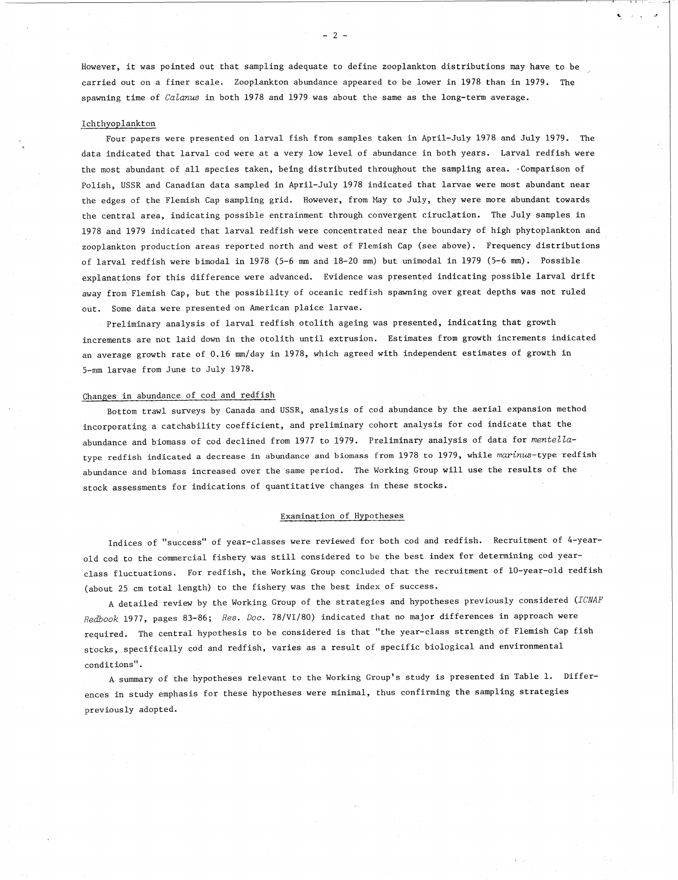However, it was pointed out that sampling adequate to define zooplankton distributions may have to be carried out on a finer scale. Zooplankton abundance appeared to be lower in 1978 than in 1979. The spawning time of *Calanus* in both 1978 and 1979 was about the same as the long-term average.

- 2--

#### Ichthyoplankton

Four papers were presented on larval fish from samples taken in April-July 1978 and July 1979. The data indicated that larval cod were at a very low level of abundance in both years. Larval redfish were the most abundant of all species taken, being distributed throughout the sampling area. Comparison of Polish, USSR and Canadian data sampled in April-July 1978 indicated that larvae were most abundant near the edges of the Flemish Cap sampling grid. However, from May to July, they were more abundant towards the central area, indicating possible entrainment through convergent ciruclation. The July samples in 1978 and 1979 indicated that larval redfish were concentrated near the boundary of high phytoplankton and zooplankton production areas reported north and west of Flemish Cap (see above). Frequency distributions of larval redfish were bimodal in 1978 (5-6 mm and 18-20 mm) but unimodal in 1979 (5-6 mm). Possible explanations for this difference were advanced. Evidence was presented indicating possible larval drift away from Flemish Cap, but the possibility of oceanic redfish spawning over great depths was not ruled out. Some data were presented on American plaice larvae.

Preliminary analysis of larval redfish otolith ageing was presented, indicating that growth increments are not laid down in the otolith until extrusion. Estimates from growth increments indicated an average growth rate of 0.16 mm/day in 1978, which agreed with independent estimates of growth in 5-mm larvae from June to July 1978.

#### Changes in abundance of cod and redfish

Bottom trawl surveys by Canada and USSR, analysis of cod abundance by the aerial expansion method incorporating a catchability coefficient, and preliminary cohort analysis for cod indicate that the abundance and biomass of cod declined from 1977 to 1979. Preliminary analysis of data for *mente11a*type redfish indicated a decrease in abundance and biomass from 1978 to 1979, while marinus-type redfish abundance and biomass increased over the same period. The Working Group will use the results of the stock assessments for indications of quantitative changes in these stocks.

#### Examination of Hypotheses

Indices of "success" of year-classes were reviewed for both cod and redfish. Recruitment of 4-yearold cod to the commercial fishery was still considered to be the best index for determining cod yearclass fluctuations. For redfish, the Working Group concluded that the recruitment of 10-year-old redfish (about 25 cm total length) to the fishery was the best index of success.

A detailed review by the Working Group of the strategies and hypotheses previously considered *(ICNAF Redbook* 1977, pages 83-86; *Res. Doc.* 78/Vi/80) indicated that no major differences in approach were required. The central hypothesis to be considered is that "the year-class strength of Flemish Cap fish stocks, specifically cod and redfish, varies as a result of specific biological and environmental conditions".

A summary of the hypotheses relevant to the Working Group's study is presented in Table 1. Differences in study emphasis for these hypotheses were minimal, thus confirming the sampling strategies previously adopted.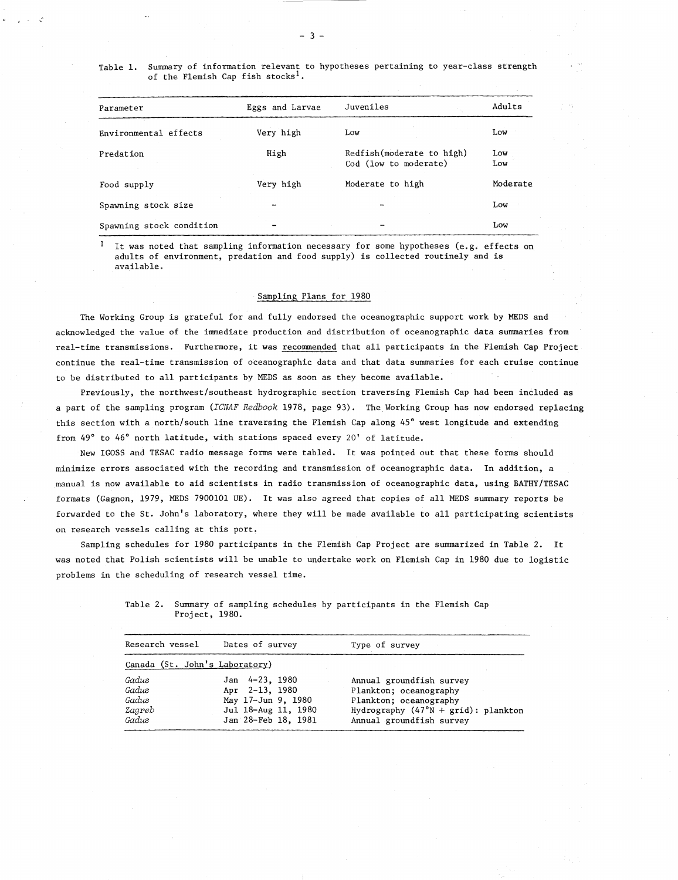| Parameter                | Eggs and Larvae | Juveniles                                           | Adults     |
|--------------------------|-----------------|-----------------------------------------------------|------------|
| Environmental effects    | Very high       | Low                                                 | Low        |
| Predation                | High            | Redfish (moderate to high)<br>Cod (low to moderate) | Low<br>Low |
| Food supply              | Very high       | Moderate to high                                    | Moderate   |
| Spawning stock size      |                 |                                                     | Low        |
| Spawning stock condition |                 |                                                     | Low        |

It was noted that sampling information necessary for some hypotheses (e.g. effects on adults of environment, predation and food supply) is collected routinely and is available.

#### Sampling Plans for 1980

The Working Group is grateful for and fully endorsed the oceanographic support work by MEDS and acknowledged the value of the immediate production and distribution of oceanographic data summaries from real-time transmissions. Furthermore, it was recommended that all participants in the Flemish Cap Project continue the real-time transmission of oceanographic data and that data summaries for each cruise continue to be distributed to all participants by MEDS as soon as they become available.

Previously, the northwest/southeast hydrographic section traversing Flemish Cap had been included as a part of the sampling program (ICNAF Redbook 1978, page 93). The Working Group has now endorsed replacing this section with a north/south line traversing the Flemish Cap along 45° west longitude and extending from 49° to 46° north latitude, with stations spaced every 20' of latitude.

New IGOSS and TESAC radio message forms were tabled. It was pointed out that these forms should minimize errors associated with the recording and transmission of oceanographic data. In addition, a manual is now available to aid scientists in radio transmission of oceanographic data, using BATHY/TESAC formats (Gagnon, 1979, MEDS 7900101 UE). It was also agreed that copies of all MEDS summary reports be forwarded to the St. John's laboratory, where they will be made available to all participating scientists on research vessels calling at this port.

Sampling schedules for 1980 participants in the Flemish Cap Project are summarized in Table 2. It was noted that Polish scientists will be unable to undertake work on Flemish Cap in 1980 due to logistic problems in the scheduling of research vessel time.

| ssels calling at this port.                                                                 |                                           |                                                    |                                                                                    |
|---------------------------------------------------------------------------------------------|-------------------------------------------|----------------------------------------------------|------------------------------------------------------------------------------------|
|                                                                                             |                                           |                                                    | schedules for 1980 participants in the Flemish Cap Project are summarized in Table |
|                                                                                             |                                           |                                                    | Polish scientists will be unable to undertake work on Flemish Cap in 1980 due to 1 |
| e scheduling of research vessel time.                                                       |                                           |                                                    |                                                                                    |
|                                                                                             |                                           |                                                    |                                                                                    |
| Table 2. Summary of sampling schedules by participants in the Flemish Cap<br>Project, 1980. |                                           |                                                    |                                                                                    |
| Research vessel                                                                             | Dates of survey                           | Type of survey                                     |                                                                                    |
| Canada (St. John's Laboratory)                                                              |                                           |                                                    |                                                                                    |
| Gadus<br>Gadus                                                                              | Jan 4-23, 1980<br>Apr 2-13, 1980          | Annual groundfish survey<br>Plankton; oceanography |                                                                                    |
| Gadus<br>Zagreb                                                                             | May 17-Jun 9, 1980<br>Jul 18-Aug 11, 1980 | Plankton; oceanography                             | Hydrography $(47°N + grid)$ : plankton                                             |
| Gadus                                                                                       | Jan 28-Feb 18, 1981                       | Annual groundfish survey                           |                                                                                    |
|                                                                                             |                                           |                                                    |                                                                                    |
|                                                                                             |                                           |                                                    |                                                                                    |
|                                                                                             |                                           |                                                    |                                                                                    |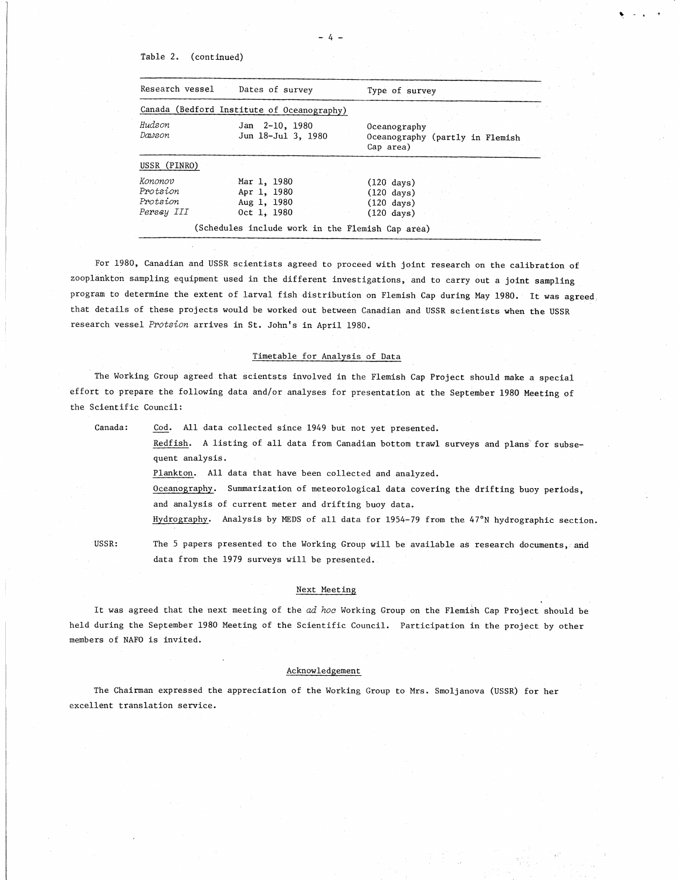## Table 2. (continued)

| Table 2.<br>(continued) |                                            |                                                              |  |
|-------------------------|--------------------------------------------|--------------------------------------------------------------|--|
| Research vessel         | Dates of survey                            | Type of survey                                               |  |
|                         | Canada (Bedford Institute of Oceanography) |                                                              |  |
| Hudson<br>Dawson        | Jan 2-10, 1980<br>Jun 18-Jul 3, 1980       | Oceanography<br>Oceanography (partly in Flemish<br>Cap area) |  |
| USSR (PINRO)            |                                            |                                                              |  |
| Kononov<br>Protsion     | Mar 1, 1980<br>Apr 1, 1980                 | $(120 \text{ days})$<br>$(120 \text{ days})$                 |  |

For 1980, Canadian and USSR scientists agreed to proceed with joint research on the calibration of zooplankton sampling equipment used in the different investigations, and to carry out a joint sampling program to determine the extent of larval fish distribution on Flemish Cap during May 1980. It was agreed that details of these projects would be worked out between Canadian and USSR scientists when the USSR research vessel *Protsion* arrives in St. John's in April 1980. For 1980, Canadian and USSR scientists agreed to proceed with joint rankton sampling equipment used in the different investigations, and the man to determine the extent of larval fish distribution on Flemish Cap<br>details of

# Timetable for Analysis of Data

The Working Group agreed that scientsts involved in the Flemish Cap Project should make a special effort to prepare the following data and/or analyses for presentation at the September 1980 Meeting of the Scientific Council: In the figure of the figure and sciencists involved in the figures for project should make a special<br>
cientific Council:<br>
Contific Council:<br>
Canada: Cod. All data collected since 1949 but not yet presented.<br>
<u>Redish,</u> A li

Redfish. A listing of all data from Canadian bottom trawl surveys and plans for subsequent analysis.

Plankton. All data that have been collected and analyzed.

Oceanography. Summarization of meteorological data covering the drifting buoy periods, and analysis of current meter and drifting buoy data.

Hydrography. Analysis by MEDS of all data for 1954-79 from the 47°N hydrographic section.

data from the 1979 surveys will be presented.

#### Next Meeting

It was agreed that the next meeting of the *ad hoc* Working Group on the Flemish Cap Project should be held during the September 1980 Meeting of the Scientific Council. Participation in the project by other members of NAFO is invited.

#### Acknowledgement

The Chairman expressed the appreciation of the Working Group to Mrs. Smoljanova (USSR) for her excellent translation service.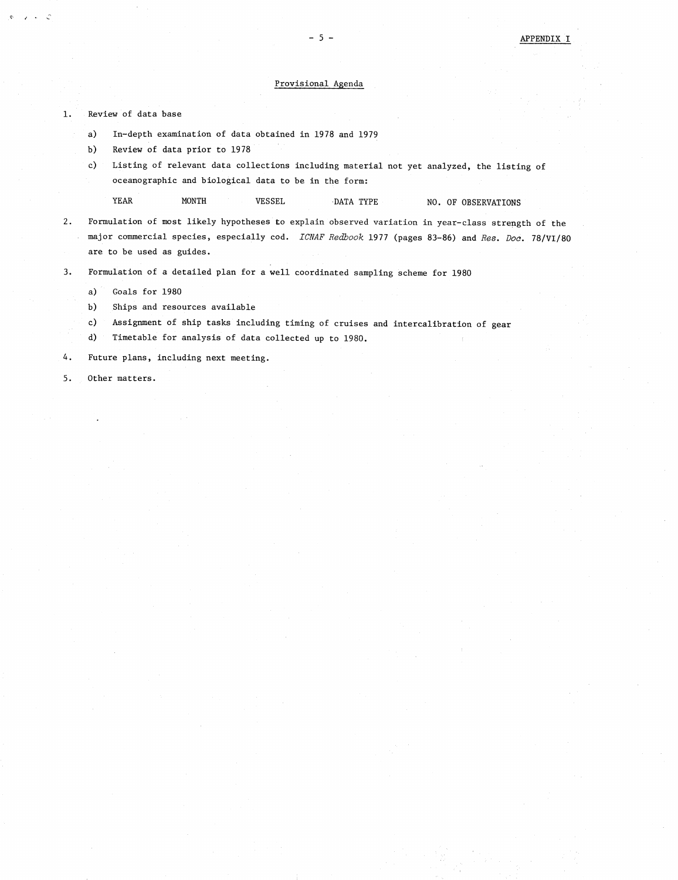#### Provisional Agenda

1. Review of data base<br>
a) In-depth exami

- In-depth examination of data obtained in 1978 and 1979
- Review of data prior to 1978
- Review of data base<br>
a) In-depth examination of data obtained in 1978 and 1979<br>
b) Review of data prior to 1978<br>
c) Listing of relevant data collections including material not yet analyzed, the listing of<br>
oceanographic an oceanographic and biological data to be in the form: w of<br>In-de<br>Revie<br>Listi<br>VEAR<br>Iatio Provisional Agenda<br>
mation of data obtained in 1978 and 1979<br>
prior to 1978<br>
evant data collections including material not yet analyzed, the listi<br>
and biological data to be in the form:<br>
MONTH VESSEL DATA TYPE NO. OF OBSE

- 2. Formulation of most likely hypotheses to explain observed variation in year-class strength of the major commercial serves to explain observed variation in year-class strength of the major commercial serves and the stren major commercial species, especially cod. *ICNAF Redbook* 1977 (pages 83-86) and *Res. Doc.* 78/VI/80 are to be used as guides. 3. Formulation of a detailed plan for a well coordinated sampling scheme for 1980<br>
2. Formulation of most likely hypotheses to explain observed variation in year-c:<br>
major commercial species, especially cod. *ICNAF Redbook*
- are to be used as guides.<br>
3. Formulation of a detailed plan for a<br>
a) Goals for 1980<br>
b) Ships and resources available<br>
c) Assignment of ship tasks includi<br>
d) Timetable for analysis of data of<br>
4. Future plans, including
	- Goals for 1980
	- Ships and resources available
	- Assignment of ship tasks including timing of cruises and intercalibration of gear
	- Timetable for analysis of data collected up to 1980.
- a) Goals for<br>
a) Goals for<br>
b) Ships and<br>
c) Assignmer<br>
d) Timetable<br>
4. Future plans,<br>
5. Other matters.
-